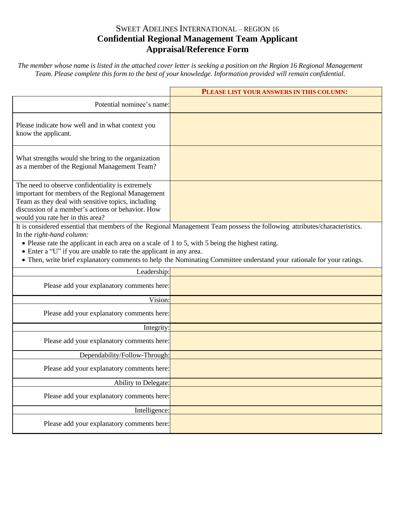## SWEET ADELINES INTERNATIONAL – REGION 16 **Confidential Regional Management Team Applicant Appraisal/Reference Form**

The member whose name is listed in the attached cover letter is seeking a position on the Region 16 Regional Management *Team. Please complete this form to the best of your knowledge. Information provided will remain confidential.*

|                                                                                                                                                                                                                                                                                                                             | PLEASE LIST YOUR ANSWERS IN THIS COLUMN:                                                                                  |
|-----------------------------------------------------------------------------------------------------------------------------------------------------------------------------------------------------------------------------------------------------------------------------------------------------------------------------|---------------------------------------------------------------------------------------------------------------------------|
| Potential nominee's name:                                                                                                                                                                                                                                                                                                   |                                                                                                                           |
| Please indicate how well and in what context you<br>know the applicant.                                                                                                                                                                                                                                                     |                                                                                                                           |
| What strengths would she bring to the organization<br>as a member of the Regional Management Team?                                                                                                                                                                                                                          |                                                                                                                           |
| The need to observe confidentiality is extremely<br>important for members of the Regional Management<br>Team as they deal with sensitive topics, including<br>discussion of a member's actions or behavior. How<br>would you rate her in this area?                                                                         |                                                                                                                           |
|                                                                                                                                                                                                                                                                                                                             | It is considered essential that members of the Regional Management Team possess the following attributes/characteristics. |
| In the right-hand column:<br>• Please rate the applicant in each area on a scale of 1 to 5, with 5 being the highest rating.<br>• Enter a "U" if you are unable to rate the applicant in any area.<br>• Then, write brief explanatory comments to help the Nominating Committee understand your rationale for your ratings. |                                                                                                                           |
| Leadership:                                                                                                                                                                                                                                                                                                                 |                                                                                                                           |
| Please add your explanatory comments here:                                                                                                                                                                                                                                                                                  |                                                                                                                           |
| Vision:                                                                                                                                                                                                                                                                                                                     |                                                                                                                           |
| Please add your explanatory comments here:                                                                                                                                                                                                                                                                                  |                                                                                                                           |
| Integrity:                                                                                                                                                                                                                                                                                                                  |                                                                                                                           |
| Please add your explanatory comments here:                                                                                                                                                                                                                                                                                  |                                                                                                                           |
| Dependability/Follow-Through:                                                                                                                                                                                                                                                                                               |                                                                                                                           |
| Please add your explanatory comments here:                                                                                                                                                                                                                                                                                  |                                                                                                                           |
| Ability to Delegate:                                                                                                                                                                                                                                                                                                        |                                                                                                                           |
| Please add your explanatory comments here:                                                                                                                                                                                                                                                                                  |                                                                                                                           |
| Intelligence:                                                                                                                                                                                                                                                                                                               |                                                                                                                           |
| Please add your explanatory comments here:                                                                                                                                                                                                                                                                                  |                                                                                                                           |
|                                                                                                                                                                                                                                                                                                                             |                                                                                                                           |